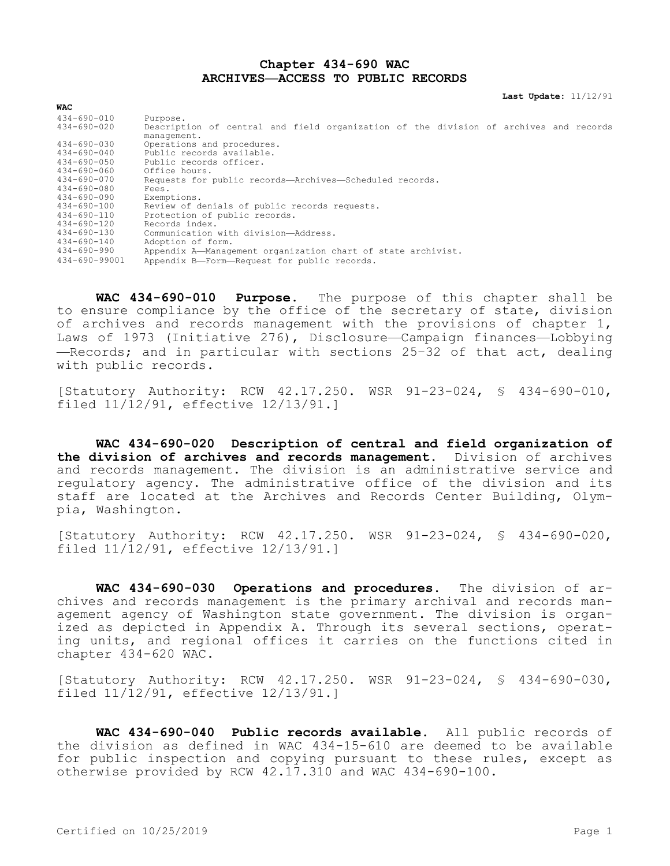## **Chapter 434-690 WAC ARCHIVES—ACCESS TO PUBLIC RECORDS**

**Last Update:** 11/12/91

| <b>WAC</b>                             |                                                                                                   |  |  |  |
|----------------------------------------|---------------------------------------------------------------------------------------------------|--|--|--|
| $434 - 690 - 010$<br>$434 - 690 - 020$ | Purpose.<br>Description of central and field organization of the division of archives and records |  |  |  |
|                                        | management.                                                                                       |  |  |  |
| $434 - 690 - 030$<br>$434 - 690 - 040$ | Operations and procedures.<br>Public records available.                                           |  |  |  |
|                                        |                                                                                                   |  |  |  |
| $434 - 690 - 050$                      | Public records officer.                                                                           |  |  |  |
| $434 - 690 - 060$                      | Office hours.                                                                                     |  |  |  |
| 434-690-070                            | Requests for public records-Archives-Scheduled records.                                           |  |  |  |
| $434 - 690 - 080$                      | Fees.                                                                                             |  |  |  |
| 434-690-090                            | Exemptions.                                                                                       |  |  |  |
| $434 - 690 - 100$                      | Review of denials of public records requests.                                                     |  |  |  |
| $434 - 690 - 110$                      | Protection of public records.                                                                     |  |  |  |
| 434-690-120                            | Records index.                                                                                    |  |  |  |
| 434-690-130                            | Communication with division-Address.                                                              |  |  |  |
| $434 - 690 - 140$                      | Adoption of form.                                                                                 |  |  |  |
| 434-690-990                            | Appendix A-Management organization chart of state archivist.                                      |  |  |  |
| 434-690-99001                          | Appendix B-Form-Request for public records.                                                       |  |  |  |

**WAC 434-690-010 Purpose.** The purpose of this chapter shall be to ensure compliance by the office of the secretary of state, division of archives and records management with the provisions of chapter 1, Laws of 1973 (Initiative 276), Disclosure—Campaign finances—Lobbying —Records; and in particular with sections 25–32 of that act, dealing with public records.

[Statutory Authority: RCW 42.17.250. WSR 91-23-024, § 434-690-010, filed 11/12/91, effective 12/13/91.]

**WAC 434-690-020 Description of central and field organization of the division of archives and records management.** Division of archives and records management. The division is an administrative service and regulatory agency. The administrative office of the division and its staff are located at the Archives and Records Center Building, Olympia, Washington.

[Statutory Authority: RCW 42.17.250. WSR 91-23-024, § 434-690-020, filed 11/12/91, effective 12/13/91.]

**WAC 434-690-030 Operations and procedures.** The division of archives and records management is the primary archival and records management agency of Washington state government. The division is organized as depicted in Appendix A. Through its several sections, operating units, and regional offices it carries on the functions cited in chapter 434-620 WAC.

[Statutory Authority: RCW 42.17.250. WSR 91-23-024, § 434-690-030, filed 11/12/91, effective 12/13/91.]

**WAC 434-690-040 Public records available.** All public records of the division as defined in WAC 434-15-610 are deemed to be available for public inspection and copying pursuant to these rules, except as otherwise provided by RCW 42.17.310 and WAC 434-690-100.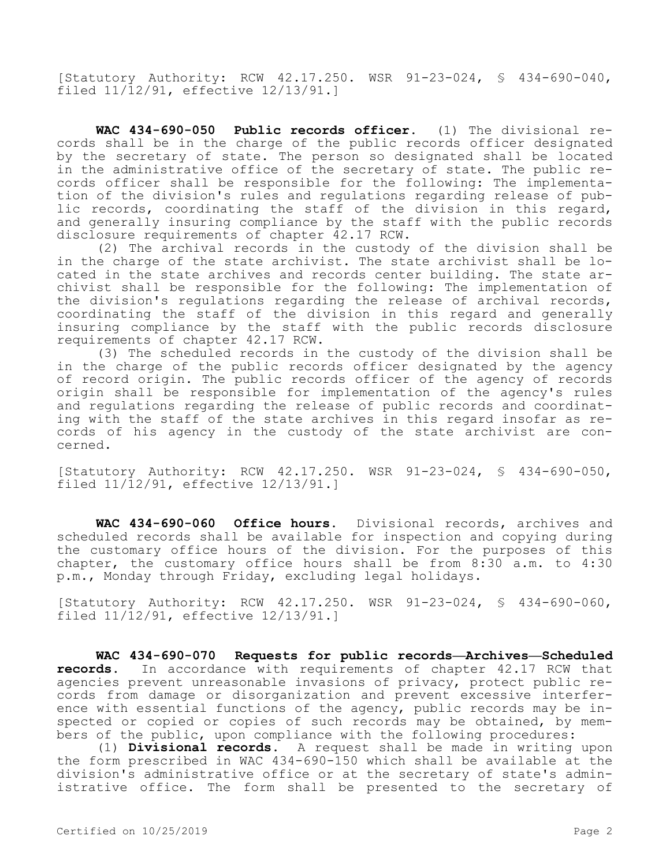[Statutory Authority: RCW 42.17.250. WSR 91-23-024, § 434-690-040, filed 11/12/91, effective 12/13/91.]

**WAC 434-690-050 Public records officer.** (1) The divisional records shall be in the charge of the public records officer designated by the secretary of state. The person so designated shall be located in the administrative office of the secretary of state. The public records officer shall be responsible for the following: The implementation of the division's rules and regulations regarding release of public records, coordinating the staff of the division in this regard, and generally insuring compliance by the staff with the public records disclosure requirements of chapter 42.17 RCW.

(2) The archival records in the custody of the division shall be in the charge of the state archivist. The state archivist shall be located in the state archives and records center building. The state archivist shall be responsible for the following: The implementation of the division's regulations regarding the release of archival records, coordinating the staff of the division in this regard and generally insuring compliance by the staff with the public records disclosure requirements of chapter 42.17 RCW.

(3) The scheduled records in the custody of the division shall be in the charge of the public records officer designated by the agency of record origin. The public records officer of the agency of records origin shall be responsible for implementation of the agency's rules and regulations regarding the release of public records and coordinating with the staff of the state archives in this regard insofar as records of his agency in the custody of the state archivist are concerned.

[Statutory Authority: RCW 42.17.250. WSR 91-23-024, § 434-690-050, filed 11/12/91, effective 12/13/91.]

**WAC 434-690-060 Office hours.** Divisional records, archives and scheduled records shall be available for inspection and copying during the customary office hours of the division. For the purposes of this chapter, the customary office hours shall be from 8:30 a.m. to 4:30 p.m., Monday through Friday, excluding legal holidays.

[Statutory Authority: RCW 42.17.250. WSR 91-23-024, § 434-690-060, filed 11/12/91, effective 12/13/91.]

**WAC 434-690-070 Requests for public records—Archives—Scheduled records.** In accordance with requirements of chapter 42.17 RCW that agencies prevent unreasonable invasions of privacy, protect public records from damage or disorganization and prevent excessive interference with essential functions of the agency, public records may be inspected or copied or copies of such records may be obtained, by members of the public, upon compliance with the following procedures:

(1) **Divisional records.** A request shall be made in writing upon the form prescribed in WAC 434-690-150 which shall be available at the division's administrative office or at the secretary of state's administrative office. The form shall be presented to the secretary of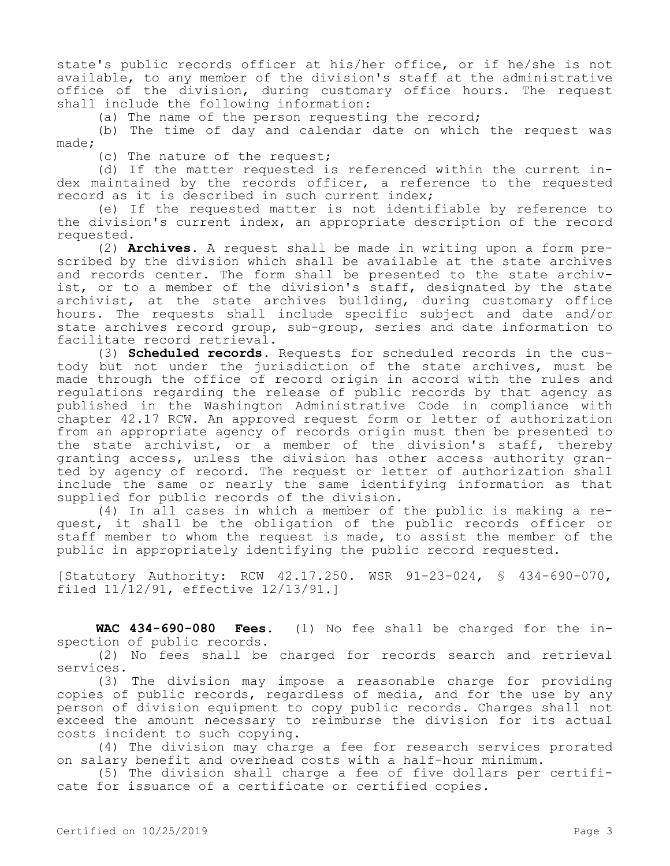state's public records officer at his/her office, or if he/she is not available, to any member of the division's staff at the administrative office of the division, during customary office hours. The request shall include the following information:

(a) The name of the person requesting the record;

(b) The time of day and calendar date on which the request was made;

(c) The nature of the request;

(d) If the matter requested is referenced within the current index maintained by the records officer, a reference to the requested record as it is described in such current index;

(e) If the requested matter is not identifiable by reference to the division's current index, an appropriate description of the record requested.

(2) **Archives.** A request shall be made in writing upon a form prescribed by the division which shall be available at the state archives and records center. The form shall be presented to the state archivist, or to a member of the division's staff, designated by the state archivist, at the state archives building, during customary office hours. The requests shall include specific subject and date and/or state archives record group, sub-group, series and date information to facilitate record retrieval.

(3) **Scheduled records.** Requests for scheduled records in the custody but not under the jurisdiction of the state archives, must be made through the office of record origin in accord with the rules and regulations regarding the release of public records by that agency as published in the Washington Administrative Code in compliance with chapter 42.17 RCW. An approved request form or letter of authorization from an appropriate agency of records origin must then be presented to the state archivist, or a member of the division's staff, thereby granting access, unless the division has other access authority granted by agency of record. The request or letter of authorization shall include the same or nearly the same identifying information as that supplied for public records of the division.

(4) In all cases in which a member of the public is making a request, it shall be the obligation of the public records officer or staff member to whom the request is made, to assist the member of the public in appropriately identifying the public record requested.

[Statutory Authority: RCW 42.17.250. WSR 91-23-024, § 434-690-070, filed 11/12/91, effective 12/13/91.]

**WAC 434-690-080 Fees.** (1) No fee shall be charged for the inspection of public records.

(2) No fees shall be charged for records search and retrieval services.

(3) The division may impose a reasonable charge for providing copies of public records, regardless of media, and for the use by any person of division equipment to copy public records. Charges shall not exceed the amount necessary to reimburse the division for its actual costs incident to such copying.

(4) The division may charge a fee for research services prorated on salary benefit and overhead costs with a half-hour minimum.

(5) The division shall charge a fee of five dollars per certificate for issuance of a certificate or certified copies.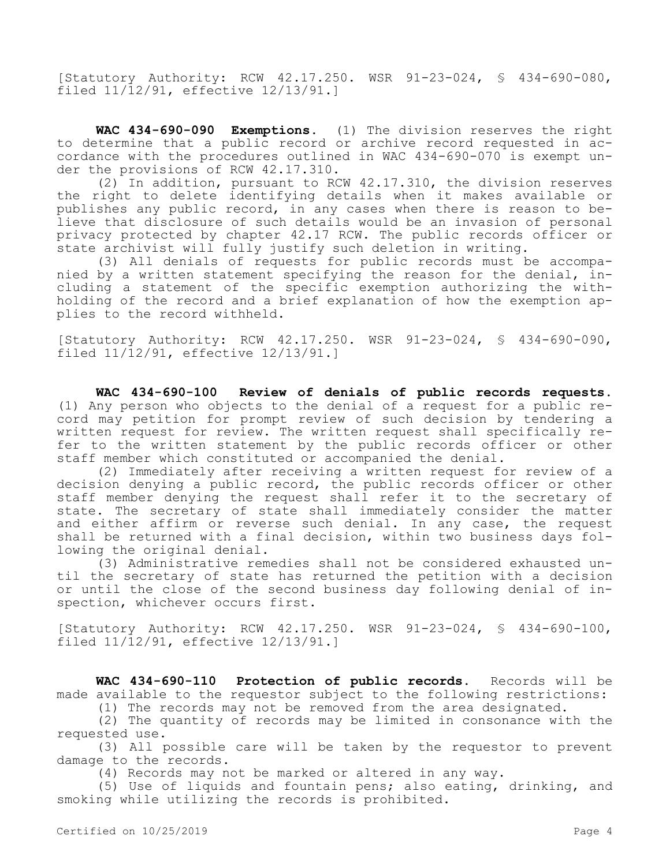[Statutory Authority: RCW 42.17.250. WSR 91-23-024, § 434-690-080, filed 11/12/91, effective 12/13/91.]

**WAC 434-690-090 Exemptions.** (1) The division reserves the right to determine that a public record or archive record requested in accordance with the procedures outlined in WAC 434-690-070 is exempt under the provisions of RCW 42.17.310.

(2) In addition, pursuant to RCW 42.17.310, the division reserves the right to delete identifying details when it makes available or publishes any public record, in any cases when there is reason to believe that disclosure of such details would be an invasion of personal privacy protected by chapter 42.17 RCW. The public records officer or state archivist will fully justify such deletion in writing.

(3) All denials of requests for public records must be accompanied by a written statement specifying the reason for the denial, including a statement of the specific exemption authorizing the withholding of the record and a brief explanation of how the exemption applies to the record withheld.

[Statutory Authority: RCW 42.17.250. WSR 91-23-024, § 434-690-090, filed 11/12/91, effective 12/13/91.]

**WAC 434-690-100 Review of denials of public records requests.**  (1) Any person who objects to the denial of a request for a public record may petition for prompt review of such decision by tendering a written request for review. The written request shall specifically refer to the written statement by the public records officer or other staff member which constituted or accompanied the denial.

(2) Immediately after receiving a written request for review of a decision denying a public record, the public records officer or other staff member denying the request shall refer it to the secretary of state. The secretary of state shall immediately consider the matter and either affirm or reverse such denial. In any case, the request shall be returned with a final decision, within two business days following the original denial.

(3) Administrative remedies shall not be considered exhausted until the secretary of state has returned the petition with a decision or until the close of the second business day following denial of inspection, whichever occurs first.

[Statutory Authority: RCW 42.17.250. WSR 91-23-024, § 434-690-100, filed 11/12/91, effective 12/13/91.]

**WAC 434-690-110 Protection of public records.** Records will be made available to the requestor subject to the following restrictions:

(1) The records may not be removed from the area designated.

(2) The quantity of records may be limited in consonance with the requested use.

(3) All possible care will be taken by the requestor to prevent damage to the records.

(4) Records may not be marked or altered in any way.

(5) Use of liquids and fountain pens; also eating, drinking, and smoking while utilizing the records is prohibited.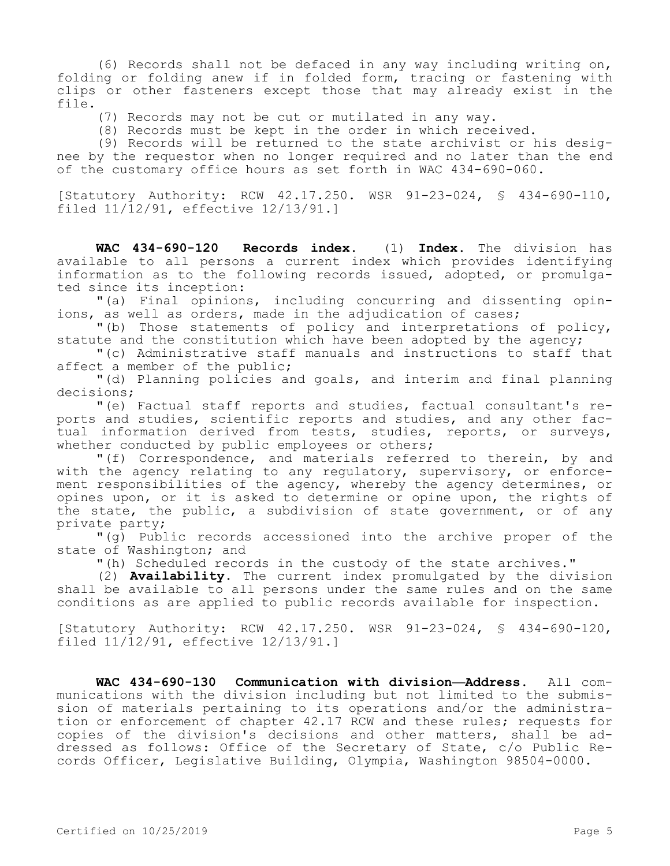(6) Records shall not be defaced in any way including writing on, folding or folding anew if in folded form, tracing or fastening with clips or other fasteners except those that may already exist in the file.

(7) Records may not be cut or mutilated in any way.

(8) Records must be kept in the order in which received.

(9) Records will be returned to the state archivist or his designee by the requestor when no longer required and no later than the end of the customary office hours as set forth in WAC 434-690-060.

[Statutory Authority: RCW 42.17.250. WSR 91-23-024, § 434-690-110, filed 11/12/91, effective 12/13/91.]

**WAC 434-690-120 Records index.** (1) **Index.** The division has available to all persons a current index which provides identifying information as to the following records issued, adopted, or promulgated since its inception:

"(a) Final opinions, including concurring and dissenting opinions, as well as orders, made in the adjudication of cases;

"(b) Those statements of policy and interpretations of policy, statute and the constitution which have been adopted by the agency;

"(c) Administrative staff manuals and instructions to staff that affect a member of the public;

"(d) Planning policies and goals, and interim and final planning decisions;

"(e) Factual staff reports and studies, factual consultant's reports and studies, scientific reports and studies, and any other factual information derived from tests, studies, reports, or surveys, whether conducted by public employees or others;

"(f) Correspondence, and materials referred to therein, by and with the agency relating to any regulatory, supervisory, or enforcement responsibilities of the agency, whereby the agency determines, or opines upon, or it is asked to determine or opine upon, the rights of the state, the public, a subdivision of state government, or of any private party;

"(g) Public records accessioned into the archive proper of the state of Washington; and

"(h) Scheduled records in the custody of the state archives."

(2) **Availability.** The current index promulgated by the division shall be available to all persons under the same rules and on the same conditions as are applied to public records available for inspection.

[Statutory Authority: RCW 42.17.250. WSR 91-23-024, § 434-690-120, filed 11/12/91, effective 12/13/91.]

**WAC 434-690-130 Communication with division—Address.** All communications with the division including but not limited to the submission of materials pertaining to its operations and/or the administration or enforcement of chapter 42.17 RCW and these rules; requests for copies of the division's decisions and other matters, shall be addressed as follows: Office of the Secretary of State, c/o Public Records Officer, Legislative Building, Olympia, Washington 98504-0000.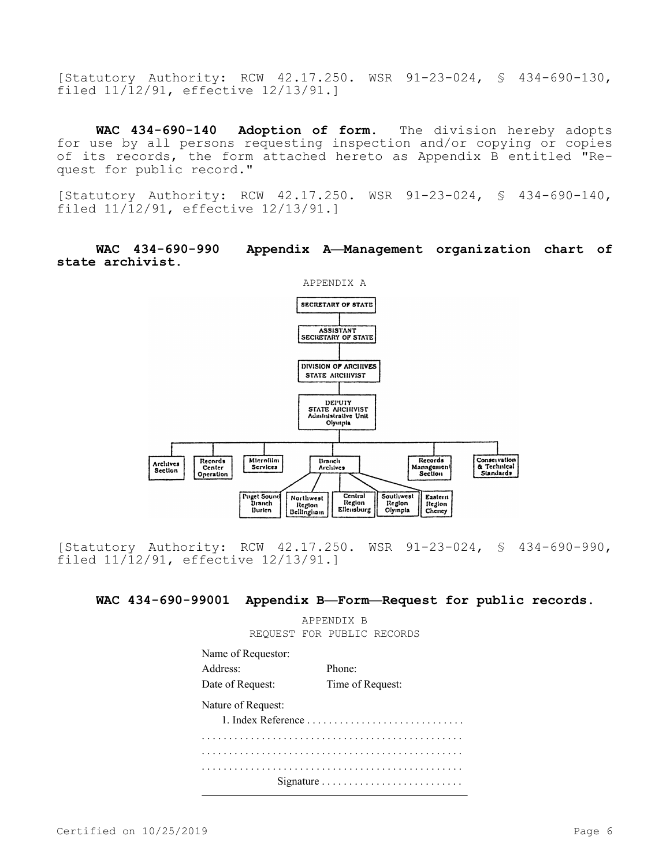[Statutory Authority: RCW 42.17.250. WSR 91-23-024, § 434-690-130, filed 11/12/91, effective 12/13/91.]

**WAC 434-690-140 Adoption of form.** The division hereby adopts for use by all persons requesting inspection and/or copying or copies of its records, the form attached hereto as Appendix B entitled "Request for public record."

[Statutory Authority: RCW 42.17.250. WSR 91-23-024, § 434-690-140, filed 11/12/91, effective 12/13/91.]

## **WAC 434-690-990 Appendix A—Management organization chart of state archivist.**



[Statutory Authority: RCW 42.17.250. WSR 91-23-024, § 434-690-990, filed 11/12/91, effective 12/13/91.]

**WAC 434-690-99001 Appendix B—Form—Request for public records.**

APPENDIX B REQUEST FOR PUBLIC RECORDS

Name of Requestor: Address: Phone: Date of Request: Time of Request: Nature of Request: 1. Index Reference . . . . . . . . . . . . . . . . . . . . . . . . . . . . . . . . . . . . . . . . . . . . . . . . . . . . . . . . . . . . . . . . . . . . . . . . . . . . . . . . . . . . . . . . . . . . . . . . . . . . . . . . . . . . . . . . . . . . . . . . . . . . . . . . . . . . . . . . . . . . . . . . . . . . . . . . . . . . . . . . . . . . . . . . . . . . . Signature . . . . . . . . . . . . . . . . . . . . . . . . . .